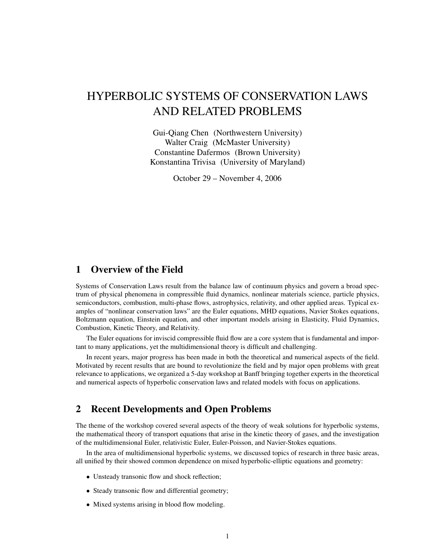# HYPERBOLIC SYSTEMS OF CONSERVATION LAWS AND RELATED PROBLEMS

Gui-Qiang Chen (Northwestern University) Walter Craig (McMaster University) Constantine Dafermos (Brown University) Konstantina Trivisa (University of Maryland)

October 29 – November 4, 2006

# 1 Overview of the Field

Systems of Conservation Laws result from the balance law of continuum physics and govern a broad spectrum of physical phenomena in compressible fluid dynamics, nonlinear materials science, particle physics, semiconductors, combustion, multi-phase flows, astrophysics, relativity, and other applied areas. Typical examples of "nonlinear conservation laws" are the Euler equations, MHD equations, Navier Stokes equations, Boltzmann equation, Einstein equation, and other important models arising in Elasticity, Fluid Dynamics, Combustion, Kinetic Theory, and Relativity.

The Euler equations for inviscid compressible fluid flow are a core system that is fundamental and important to many applications, yet the multidimensional theory is difficult and challenging.

In recent years, major progress has been made in both the theoretical and numerical aspects of the field. Motivated by recent results that are bound to revolutionize the field and by major open problems with great relevance to applications, we organized a 5-day workshop at Banff bringing together experts in the theoretical and numerical aspects of hyperbolic conservation laws and related models with focus on applications.

# 2 Recent Developments and Open Problems

The theme of the workshop covered several aspects of the theory of weak solutions for hyperbolic systems, the mathematical theory of transport equations that arise in the kinetic theory of gases, and the investigation of the multidimensional Euler, relativistic Euler, Euler-Poisson, and Navier-Stokes equations.

In the area of multidimensional hyperbolic systems, we discussed topics of research in three basic areas, all unified by their showed common dependence on mixed hyperbolic-elliptic equations and geometry:

- Unsteady transonic flow and shock reflection;
- Steady transonic flow and differential geometry;
- Mixed systems arising in blood flow modeling.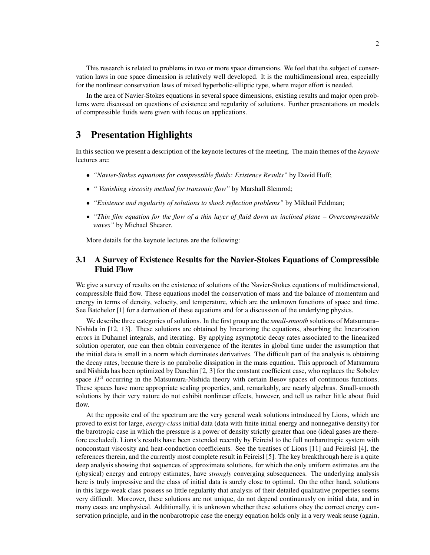This research is related to problems in two or more space dimensions. We feel that the subject of conservation laws in one space dimension is relatively well developed. It is the multidimensional area, especially for the nonlinear conservation laws of mixed hyperbolic-elliptic type, where major effort is needed.

In the area of Navier-Stokes equations in several space dimensions, existing results and major open problems were discussed on questions of existence and regularity of solutions. Further presentations on models of compressible fluids were given with focus on applications.

### 3 Presentation Highlights

In this section we present a description of the keynote lectures of the meeting. The main themes of the *keynote* lectures are:

- *"Navier-Stokes equations for compressible fluids: Existence Results"* by David Hoff;
- *" Vanishing viscosity method for transonic flow"* by Marshall Slemrod;
- *"Existence and regularity of solutions to shock reflection problems"* by Mikhail Feldman;
- *"Thin film equation for the flow of a thin layer of fluid down an inclined plane Overcompressible waves"* by Michael Shearer.

More details for the keynote lectures are the following:

### 3.1 A Survey of Existence Results for the Navier-Stokes Equations of Compressible Fluid Flow

We give a survey of results on the existence of solutions of the Navier-Stokes equations of multidimensional, compressible fluid flow. These equations model the conservation of mass and the balance of momentum and energy in terms of density, velocity, and temperature, which are the unknown functions of space and time. See Batchelor [1] for a derivation of these equations and for a discussion of the underlying physics.

We describe three categories of solutions. In the first group are the *small-smooth* solutions of Matsumura– Nishida in [12, 13]. These solutions are obtained by linearizing the equations, absorbing the linearization errors in Duhamel integrals, and iterating. By applying asymptotic decay rates associated to the linearized solution operator, one can then obtain convergence of the iterates in global time under the assumption that the initial data is small in a norm which dominates derivatives. The difficult part of the analysis is obtaining the decay rates, because there is no parabolic dissipation in the mass equation. This approach of Matsumura and Nishida has been optimized by Danchin [2, 3] for the constant coefficient case, who replaces the Sobolev space  $H<sup>3</sup>$  occurring in the Matsumura-Nishida theory with certain Besov spaces of continuous functions. These spaces have more appropriate scaling properties, and, remarkably, are nearly algebras. Small-smooth solutions by their very nature do not exhibit nonlinear effects, however, and tell us rather little about fluid flow.

At the opposite end of the spectrum are the very general weak solutions introduced by Lions, which are proved to exist for large, *energy-class* initial data (data with finite initial energy and nonnegative density) for the barotropic case in which the pressure is a power of density strictly greater than one (ideal gases are therefore excluded). Lions's results have been extended recently by Feireisl to the full nonbarotropic system with nonconstant viscosity and heat-conduction coefficients. See the treatises of Lions [11] and Feireisl [4], the references therein, and the currently most complete result in Feireisl [5]. The key breakthrough here is a quite deep analysis showing that sequences of approximate solutions, for which the only uniform estimates are the (physical) energy and entropy estimates, have *strongly* converging subsequences. The underlying analysis here is truly impressive and the class of initial data is surely close to optimal. On the other hand, solutions in this large-weak class possess so little regularity that analysis of their detailed qualitative properties seems very difficult. Moreover, these solutions are not unique, do not depend continuously on initial data, and in many cases are unphysical. Additionally, it is unknown whether these solutions obey the correct energy conservation principle, and in the nonbarotropic case the energy equation holds only in a very weak sense (again,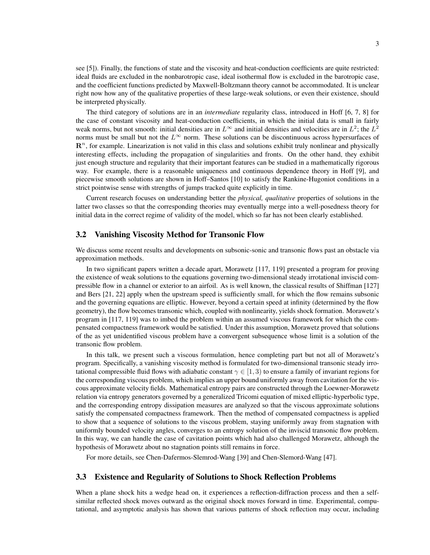see [5]). Finally, the functions of state and the viscosity and heat-conduction coefficients are quite restricted: ideal fluids are excluded in the nonbarotropic case, ideal isothermal flow is excluded in the barotropic case, and the coefficient functions predicted by Maxwell-Boltzmann theory cannot be accommodated. It is unclear right now how any of the qualitative properties of these large-weak solutions, or even their existence, should be interpreted physically.

The third category of solutions are in an *intermediate* regularity class, introduced in Hoff [6, 7, 8] for the case of constant viscosity and heat-conduction coefficients, in which the initial data is small in fairly weak norms, but not smooth: initial densities are in  $L^{\infty}$  and initial densities and velocities are in  $L^2$ ; the  $L^2$ norms must be small but not the  $L^{\infty}$  norm. These solutions can be discontinuous across hypersurfaces of  $\mathbb{R}^n$ , for example. Linearization is not valid in this class and solutions exhibit truly nonlinear and physically interesting effects, including the propagation of singularities and fronts. On the other hand, they exhibit just enough structure and regularity that their important features can be studied in a mathematically rigorous way. For example, there is a reasonable uniqueness and continuous dependence theory in Hoff [9], and piecewise smooth solutions are shown in Hoff–Santos [10] to satisfy the Rankine-Hugoniot conditions in a strict pointwise sense with strengths of jumps tracked quite explicitly in time.

Current research focuses on understanding better the *physical, qualitative* properties of solutions in the latter two classes so that the corresponding theories may eventually merge into a well-posedness theory for initial data in the correct regime of validity of the model, which so far has not been clearly established.

#### 3.2 Vanishing Viscosity Method for Transonic Flow

We discuss some recent results and developments on subsonic-sonic and transonic flows past an obstacle via approximation methods.

In two significant papers written a decade apart, Morawetz [117, 119] presented a program for proving the existence of weak solutions to the equations governing two-dimensional steady irrotational inviscid compressible flow in a channel or exterior to an airfoil. As is well known, the classical results of Shiffman [127] and Bers [21, 22] apply when the upstream speed is sufficiently small, for which the flow remains subsonic and the governing equations are elliptic. However, beyond a certain speed at infinity (determined by the flow geometry), the flow becomes transonic which, coupled with nonlinearity, yields shock formation. Morawetz's program in [117, 119] was to imbed the problem within an assumed viscous framework for which the compensated compactness framework would be satisfied. Under this assumption, Morawetz proved that solutions of the as yet unidentified viscous problem have a convergent subsequence whose limit is a solution of the transonic flow problem.

In this talk, we present such a viscous formulation, hence completing part but not all of Morawetz's program. Specifically, a vanishing viscosity method is formulated for two-dimensional transonic steady irrotational compressible fluid flows with adiabatic constant  $\gamma \in [1, 3)$  to ensure a family of invariant regions for the corresponding viscous problem, which implies an upper bound uniformly away from cavitation for the viscous approximate velocity fields. Mathematical entropy pairs are constructed through the Loewner-Morawetz relation via entropy generators governed by a generalized Tricomi equation of mixed elliptic-hyperbolic type, and the corresponding entropy dissipation measures are analyzed so that the viscous approximate solutions satisfy the compensated compactness framework. Then the method of compensated compactness is applied to show that a sequence of solutions to the viscous problem, staying uniformly away from stagnation with uniformly bounded velocity angles, converges to an entropy solution of the inviscid transonic flow problem. In this way, we can handle the case of cavitation points which had also challenged Morawetz, although the hypothesis of Morawetz about no stagnation points still remains in force.

For more details, see Chen-Dafermos-Slemrod-Wang [39] and Chen-Slemord-Wang [47].

#### 3.3 Existence and Regularity of Solutions to Shock Reflection Problems

When a plane shock hits a wedge head on, it experiences a reflection-diffraction process and then a selfsimilar reflected shock moves outward as the original shock moves forward in time. Experimental, computational, and asymptotic analysis has shown that various patterns of shock reflection may occur, including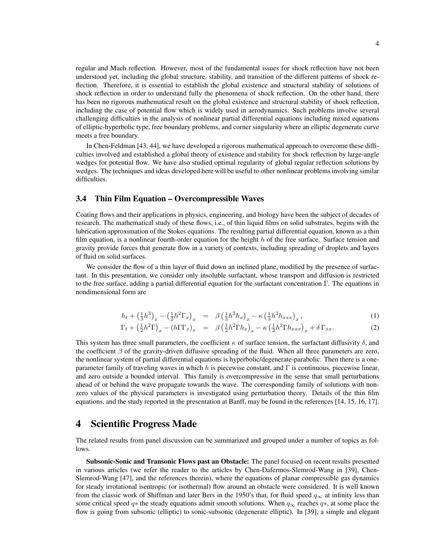regular and Mach reflection. However, most of the fundamental issues for shock reflection have not been understood yet, including the global structure, stability, and transition of the different patterns of shock reflection. Therefore, it is essential to establish the global existence and structural stability of solutions of shock reflection in order to understand fully the phenomena of shock reflection. On the other hand, there has been no rigorous mathematical result on the global existence and structural stability of shock reflection, including the case of potential flow which is widely used in aerodynamics. Such problems involve several challenging difficulties in the analysis of nonlinear partial differential equations including mixed equations of elliptic-hyperbolic type, free boundary problems, and corner singularity where an elliptic degenerate curve meets a free boundary.

In Chen-Feldman [43, 44], we have developed a rigorous mathematical approach to overcome these difficulties involved and established a global theory of existence and stability for shock reflection by large-angle wedges for potential flow. We have also studied optimal regularity of global regular reflection solutions by wedges. The techniques and ideas developed here will be useful to other nonlinear problems involving similar difficulties.

### 3.4 Thin Film Equation – Overcompressible Waves

Coating flows and their applications in physics, engineering, and biology have been the subject of decades of research. The mathematical study of these flows, i.e., of thin liquid films on solid substrates, begins with the lubrication approximation of the Stokes equations. The resulting partial differential equation, known as a thin film equation, is a nonlinear fourth-order equation for the height  $h$  of the free surface. Surface tension and gravity provide forces that generate flow in a variety of contexts, including spreading of droplets and layers of fluid on solid surfaces.

We consider the flow of a thin layer of fluid down an inclined plane, modified by the presence of surfactant. In this presentation, we consider only insoluble surfactant, whose transport and diffusion is restricted to the free surface, adding a partial differential equation for the surfactant concentration Γ. The equations in nondimensional form are

$$
h_t + \left(\frac{1}{3}h^3\right)_x - \left(\frac{1}{2}h^2\Gamma_x\right)_x = \beta \left(\frac{1}{3}h^3h_x\right)_x - \kappa \left(\frac{1}{3}h^3h_{xxx}\right)_x, \tag{1}
$$

$$
\Gamma_t + \left(\frac{1}{2}h^2\Gamma\right)_x - \left(h\Gamma\Gamma_x\right)_x = \beta \left(\frac{1}{2}h^2\Gamma h_x\right)_x - \kappa \left(\frac{1}{2}h^2\Gamma h_{xxx}\right)_x + \delta \Gamma_{xx}.
$$
\n(2)

This system has three small parameters, the coefficient  $\kappa$  of surface tension, the surfactant diffusivity  $\delta$ , and the coefficient  $\beta$  of the gravity-driven diffusive spreading of the fluid. When all three parameters are zero, the nonlinear system of partial differential equations is hyperbolic/degenerate-parabolic. Then there is a oneparameter family of traveling waves in which h is piecewise constant, and Γ is continuous, piecewise linear, and zero outside a bounded interval. This family is overcompressive in the sense that small perturbations ahead of or behind the wave propagate towards the wave. The corresponding family of solutions with nonzero values of the physical parameters is investigated using perturbation theory. Details of the thin film equations, and the study reported in the presentation at Banff, may be found in the references [14, 15, 16, 17].

### 4 Scientific Progress Made

The related results from panel discussion can be summarized and grouped under a number of topics as follows.

Subsonic-Sonic and Transonic Flows past an Obstacle: The panel focused on recent results presented in various articles (we refer the reader to the articles by Chen-Dafermos-Slemrod-Wang in [39], Chen-Slemrod-Wang [47], and the references therein), where the equations of planar compressible gas dynamics for steady irrotational isentropic (or isothermal) flow around an obstacle were considered. It is well known from the classic work of Shiffman and later Bers in the 1950's that, for fluid speed  $q_{\infty}$  at infinity less than some critical speed  $q$ ∗ the steady equations admit smooth solutions. When  $q_{\infty}$  reaches  $q$ ∗, at some place the flow is going from subsonic (elliptic) to sonic-subsonic (degenerate elliptic). In [39], a simple and elegant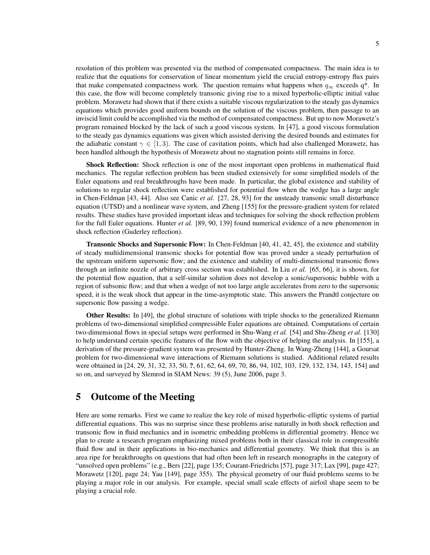resolution of this problem was presented via the method of compensated compactness. The main idea is to realize that the equations for conservation of linear momentum yield the crucial entropy-entropy flux pairs that make compensated compactness work. The question remains what happens when  $q_{\infty}$  exceeds q\*. In this case, the flow will become completely transonic giving rise to a mixed hyperbolic-elliptic initial value problem. Morawetz had shown that if there exists a suitable viscous regularization to the steady gas dynamics equations which provides good uniform bounds on the solution of the viscous problem, then passage to an inviscid limit could be accomplished via the method of compensated compactness. But up to now Morawetz's program remained blocked by the lack of such a good viscous system. In [47], a good viscous formulation to the steady gas dynamics equations was given which assisted deriving the desired bounds and estimates for the adiabatic constant  $\gamma \in [1, 3)$ . The case of cavitation points, which had also challenged Morawetz, has been handled although the hypothesis of Morawetz about no stagnation points still remains in force.

Shock Reflection: Shock reflection is one of the most important open problems in mathematical fluid mechanics. The regular reflection problem has been studied extensively for some simplified models of the Euler equations and real breakthroughs have been made. In particular, the global existence and stability of solutions to regular shock reflection were established for potential flow when the wedge has a large angle in Chen-Feldman [43, 44]. Also see Canic *et al.* [27, 28, 93] for the unsteady transonic small disturbance equation (UTSD) and a nonlinear wave system, and Zheng [155] for the pressure-gradient system for related results. These studies have provided important ideas and techniques for solving the shock reflection problem for the full Euler equations. Hunter *et al.* [89, 90, 139] found numerical evidence of a new phenomenon in shock reflection (Guderley reflection).

Transonic Shocks and Supersonic Flow: In Chen-Feldman [40, 41, 42, 45], the existence and stability of steady multidimensional transonic shocks for potential flow was proved under a steady perturbation of the upstream uniform supersonic flow; and the existence and stability of multi-dimensional transonic flows through an infinite nozzle of arbitrary cross section was established. In Liu *et al.* [65, 66], it is shown, for the potential flow equation, that a self-similar solution does not develop a sonic/supersonic bubble with a region of subsonic flow; and that when a wedge of not too large angle accelerates from zero to the supersonic speed, it is the weak shock that appear in the time-asymptotic state. This answers the Prandtl conjecture on supersonic flow passing a wedge.

Other Results: In [49], the global structure of solutions with triple shocks to the generalized Riemann problems of two-dimensional simplified compressible Euler equations are obtained. Computations of certain two-dimensional flows in special setups were performed in Shu-Wang *et al.* [54] and Shu-Zheng *et al.* [130] to help understand certain specific features of the flow with the objective of helping the analysis. In [155], a derivation of the pressure-gradient system was presented by Hunter-Zheng. In Wang-Zheng [144], a Goursat problem for two-dimensional wave interactions of Riemann solutions is studied. Additional related results were obtained in [24, 29, 31, 32, 33, 50, ?, 61, 62, 64, 69, 70, 86, 94, 102, 103, 129, 132, 134, 143, 154] and so on, and surveyed by Slemrod in SIAM News: 39 (5), June 2006, page 3.

### 5 Outcome of the Meeting

Here are some remarks. First we came to realize the key role of mixed hyperbolic-elliptic systems of partial differential equations. This was no surprise since these problems arise naturally in both shock reflection and transonic flow in fluid mechanics and in isometric embedding problems in differential geometry. Hence we plan to create a research program emphasizing mixed problems both in their classical role in compressible fluid flow and in their applications in bio-mechanics and differential geometry. We think that this is an area ripe for breakthroughs on questions that had often been left in research monographs in the category of "unsolved open problems" (e.g., Bers [22], page 135; Courant-Friedrichs [57], page 317; Lax [99], page 427; Morawetz [120], page 24; Yau [149], page 355). The physical geometry of our fluid problems seems to be playing a major role in our analysis. For example, special small scale effects of airfoil shape seem to be playing a crucial role.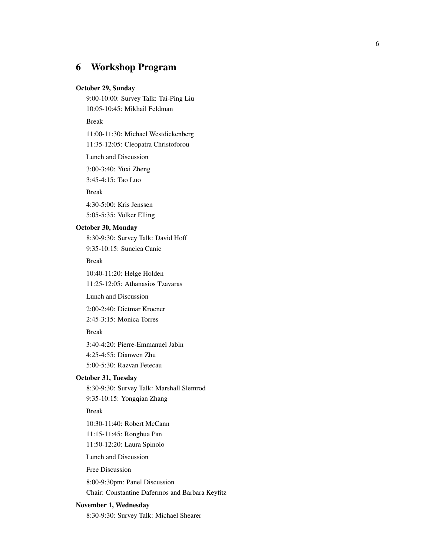# 6 Workshop Program

#### October 29, Sunday

9:00-10:00: Survey Talk: Tai-Ping Liu 10:05-10:45: Mikhail Feldman

#### Break

11:00-11:30: Michael Westdickenberg

11:35-12:05: Cleopatra Christoforou

Lunch and Discussion

3:00-3:40: Yuxi Zheng

3:45-4:15: Tao Luo

Break

4:30-5:00: Kris Jenssen 5:05-5:35: Volker Elling

### October 30, Monday

8:30-9:30: Survey Talk: David Hoff 9:35-10:15: Suncica Canic

Break

10:40-11:20: Helge Holden

11:25-12:05: Athanasios Tzavaras

Lunch and Discussion

2:00-2:40: Dietmar Kroener

2:45-3:15: Monica Torres

Break

3:40-4:20: Pierre-Emmanuel Jabin

4:25-4:55: Dianwen Zhu

5:00-5:30: Razvan Fetecau

### October 31, Tuesday

8:30-9:30: Survey Talk: Marshall Slemrod

9:35-10:15: Yongqian Zhang

Break

10:30-11:40: Robert McCann

11:15-11:45: Ronghua Pan

11:50-12:20: Laura Spinolo

Lunch and Discussion

Free Discussion

8:00-9:30pm: Panel Discussion

Chair: Constantine Dafermos and Barbara Keyfitz

#### November 1, Wednesday

8:30-9:30: Survey Talk: Michael Shearer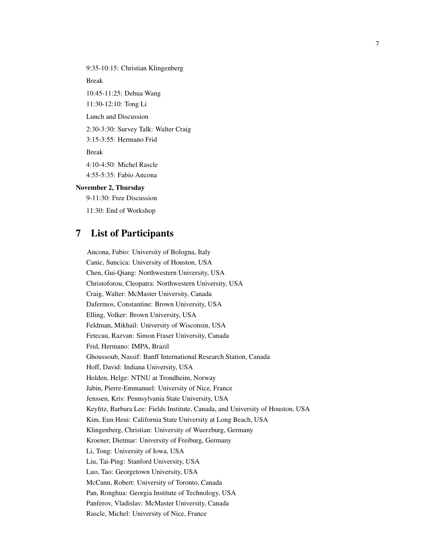9:35-10:15: Christian Klingenberg

Break

10:45-11:25: Dehua Wang 11:30-12:10: Tong Li Lunch and Discussion 2:30-3:30: Survey Talk: Walter Craig 3:15-3:55: Hermano Frid Break 4:10-4:50: Michel Rascle 4:55-5:35: Fabio Ancona November 2, Thursday 9-11:30: Free Discussion

11:30: End of Workshop

# 7 List of Participants

Ancona, Fabio: University of Bologna, Italy Canic, Suncica: University of Houston, USA Chen, Gui-Qiang: Northwestern University, USA Christoforou, Cleopatra: Northwestern University, USA Craig, Walter: McMaster University, Canada Dafermos, Constantine: Brown University, USA Elling, Volker: Brown University, USA Feldman, Mikhail: University of Wisconsin, USA Fetecau, Razvan: Simon Fraser University, Canada Frid, Hermano: IMPA, Brazil Ghoussoub, Nassif: Banff International Research Station, Canada Hoff, David: Indiana University, USA Holden, Helge: NTNU at Trondheim, Norway Jabin, Pierre-Emmanuel: University of Nice, France Jenssen, Kris: Pennsylvania State University, USA Keyfitz, Barbara Lee: Fields Institute, Canada, and University of Houston, USA Kim, Eun Heui: California State University at Long Beach, USA Klingenberg, Christian: University of Wuerzburg, Germany Kroener, Dietmar: University of Freiburg, Germany Li, Tong: University of Iowa, USA Liu, Tai-Ping: Stanford University, USA Luo, Tao: Georgetown University, USA McCann, Robert: University of Toronto, Canada Pan, Ronghua: Georgia Institute of Technology, USA Panferov, Vladislav: McMaster University, Canada Rascle, Michel: University of Nice, France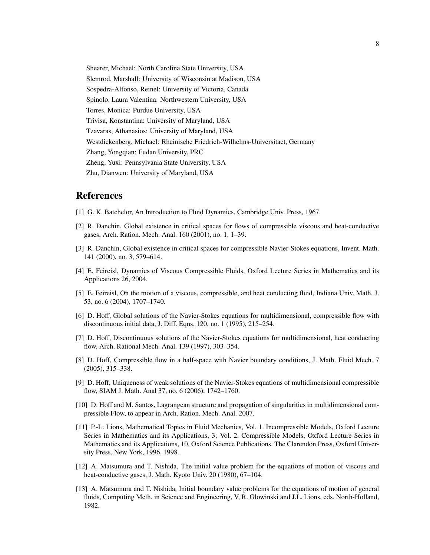Shearer, Michael: North Carolina State University, USA Slemrod, Marshall: University of Wisconsin at Madison, USA Sospedra-Alfonso, Reinel: University of Victoria, Canada Spinolo, Laura Valentina: Northwestern University, USA Torres, Monica: Purdue University, USA Trivisa, Konstantina: University of Maryland, USA Tzavaras, Athanasios: University of Maryland, USA Westdickenberg, Michael: Rheinische Friedrich-Wilhelms-Universitaet, Germany Zhang, Yongqian: Fudan University, PRC Zheng, Yuxi: Pennsylvania State University, USA Zhu, Dianwen: University of Maryland, USA

### References

- [1] G. K. Batchelor, An Introduction to Fluid Dynamics, Cambridge Univ. Press, 1967.
- [2] R. Danchin, Global existence in critical spaces for flows of compressible viscous and heat-conductive gases, Arch. Ration. Mech. Anal. 160 (2001), no. 1, 1–39.
- [3] R. Danchin, Global existence in critical spaces for compressible Navier-Stokes equations, Invent. Math. 141 (2000), no. 3, 579–614.
- [4] E. Feireisl, Dynamics of Viscous Compressible Fluids, Oxford Lecture Series in Mathematics and its Applications 26, 2004.
- [5] E. Feireisl, On the motion of a viscous, compressible, and heat conducting fluid, Indiana Univ. Math. J. 53, no. 6 (2004), 1707–1740.
- [6] D. Hoff, Global solutions of the Navier-Stokes equations for multidimensional, compressible flow with discontinuous initial data, J. Diff. Eqns. 120, no. 1 (1995), 215–254.
- [7] D. Hoff, Discontinuous solutions of the Navier-Stokes equations for multidimensional, heat conducting flow, Arch. Rational Mech. Anal. 139 (1997), 303–354.
- [8] D. Hoff, Compressible flow in a half-space with Navier boundary conditions, J. Math. Fluid Mech. 7 (2005), 315–338.
- [9] D. Hoff, Uniqueness of weak solutions of the Navier-Stokes equations of multidimensional compressible flow, SIAM J. Math. Anal 37, no. 6 (2006), 1742–1760.
- [10] D. Hoff and M. Santos, Lagrangean structure and propagation of singularities in multidimensional compressible Flow, to appear in Arch. Ration. Mech. Anal. 2007.
- [11] P.-L. Lions, Mathematical Topics in Fluid Mechanics, Vol. 1. Incompressible Models, Oxford Lecture Series in Mathematics and its Applications, 3; Vol. 2. Compressible Models, Oxford Lecture Series in Mathematics and its Applications, 10. Oxford Science Publications. The Clarendon Press, Oxford University Press, New York, 1996, 1998.
- [12] A. Matsumura and T. Nishida, The initial value problem for the equations of motion of viscous and heat-conductive gases, J. Math. Kyoto Univ. 20 (1980), 67–104.
- [13] A. Matsumura and T. Nishida, Initial boundary value problems for the equations of motion of general fluids, Computing Meth. in Science and Engineering, V, R. Glowinski and J.L. Lions, eds. North-Holland, 1982.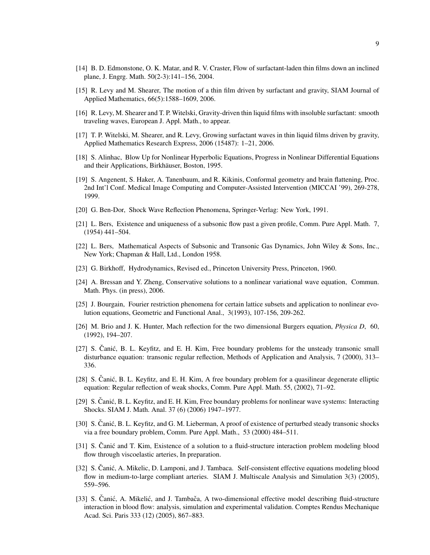- [14] B. D. Edmonstone, O. K. Matar, and R. V. Craster, Flow of surfactant-laden thin films down an inclined plane, J. Engrg. Math. 50(2-3):141–156, 2004.
- [15] R. Levy and M. Shearer, The motion of a thin film driven by surfactant and gravity, SIAM Journal of Applied Mathematics, 66(5):1588–1609, 2006.
- [16] R. Levy, M. Shearer and T. P. Witelski, Gravity-driven thin liquid films with insoluble surfactant: smooth traveling waves, European J. Appl. Math., to appear.
- [17] T. P. Witelski, M. Shearer, and R. Levy, Growing surfactant waves in thin liquid films driven by gravity, Applied Mathematics Research Express, 2006 (15487): 1–21, 2006.
- [18] S. Alinhac, Blow Up for Nonlinear Hyperbolic Equations, Progress in Nonlinear Differential Equations and their Applications, Birkhäuser, Boston, 1995.
- [19] S. Angenent, S. Haker, A. Tanenbaum, and R. Kikinis, Conformal geometry and brain flattening, Proc. 2nd Int'l Conf. Medical Image Computing and Computer-Assisted Intervention (MICCAI '99), 269-278, 1999.
- [20] G. Ben-Dor, Shock Wave Reflection Phenomena, Springer-Verlag: New York, 1991.
- [21] L. Bers, Existence and uniqueness of a subsonic flow past a given profile, Comm. Pure Appl. Math. 7, (1954) 441–504.
- [22] L. Bers, Mathematical Aspects of Subsonic and Transonic Gas Dynamics, John Wiley & Sons, Inc., New York; Chapman & Hall, Ltd., London 1958.
- [23] G. Birkhoff, Hydrodynamics, Revised ed., Princeton University Press, Princeton, 1960.
- [24] A. Bressan and Y. Zheng, Conservative solutions to a nonlinear variational wave equation, Commun. Math. Phys. (in press), 2006.
- [25] J. Bourgain, Fourier restriction phenomena for certain lattice subsets and application to nonlinear evolution equations, Geometric and Functional Anal., 3(1993), 107-156, 209-262.
- [26] M. Brio and J. K. Hunter, Mach reflection for the two dimensional Burgers equation, *Physica D*, 60, (1992), 194–207.
- [27] S. Canić, B. L. Keyfitz, and E. H. Kim, Free boundary problems for the unsteady transonic small disturbance equation: transonic regular reflection, Methods of Application and Analysis, 7 (2000), 313– 336.
- [28] S. Čanić, B. L. Keyfitz, and E. H. Kim, A free boundary problem for a quasilinear degenerate elliptic equation: Regular reflection of weak shocks, Comm. Pure Appl. Math. 55, (2002), 71–92.
- [29] S. Canić, B. L. Keyfitz, and E. H. Kim, Free boundary problems for nonlinear wave systems: Interacting Shocks. SIAM J. Math. Anal. 37 (6) (2006) 1947–1977.
- [30] S. Canić, B. L. Keyfitz, and G. M. Lieberman, A proof of existence of perturbed steady transonic shocks via a free boundary problem, Comm. Pure Appl. Math., 53 (2000) 484–511.
- [31] S. Canić and T. Kim, Existence of a solution to a fluid-structure interaction problem modeling blood flow through viscoelastic arteries, In preparation.
- [32] S. Canić, A. Mikelic, D. Lamponi, and J. Tambaca. Self-consistent effective equations modeling blood flow in medium-to-large compliant arteries. SIAM J. Multiscale Analysis and Simulation 3(3) (2005), 559–596.
- [33] S. Canić, A. Mikelić, and J. Tambača, A two-dimensional effective model describing fluid-structure interaction in blood flow: analysis, simulation and experimental validation. Comptes Rendus Mechanique Acad. Sci. Paris 333 (12) (2005), 867–883.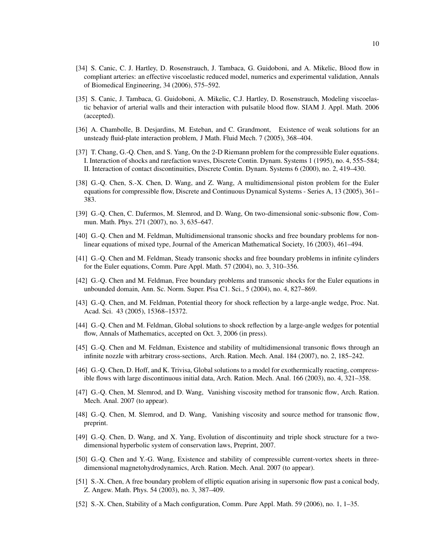- [34] S. Canic, C. J. Hartley, D. Rosenstrauch, J. Tambaca, G. Guidoboni, and A. Mikelic, Blood flow in compliant arteries: an effective viscoelastic reduced model, numerics and experimental validation, Annals of Biomedical Engineering, 34 (2006), 575–592.
- [35] S. Canic, J. Tambaca, G. Guidoboni, A. Mikelic, C.J. Hartley, D. Rosenstrauch, Modeling viscoelastic behavior of arterial walls and their interaction with pulsatile blood flow. SIAM J. Appl. Math. 2006 (accepted).
- [36] A. Chambolle, B. Desjardins, M. Esteban, and C. Grandmont, Existence of weak solutions for an unsteady fluid-plate interaction problem, J Math. Fluid Mech. 7 (2005), 368–404.
- [37] T. Chang, G.-Q. Chen, and S. Yang, On the 2-D Riemann problem for the compressible Euler equations. I. Interaction of shocks and rarefaction waves, Discrete Contin. Dynam. Systems 1 (1995), no. 4, 555–584; II. Interaction of contact discontinuities, Discrete Contin. Dynam. Systems 6 (2000), no. 2, 419–430.
- [38] G.-Q. Chen, S.-X. Chen, D. Wang, and Z. Wang, A multidimensional piston problem for the Euler equations for compressible flow, Discrete and Continuous Dynamical Systems - Series A, 13 (2005), 361– 383.
- [39] G.-Q. Chen, C. Dafermos, M. Slemrod, and D. Wang, On two-dimensional sonic-subsonic flow, Commun. Math. Phys. 271 (2007), no. 3, 635–647.
- [40] G.-Q. Chen and M. Feldman, Multidimensional transonic shocks and free boundary problems for nonlinear equations of mixed type, Journal of the American Mathematical Society, 16 (2003), 461–494.
- [41] G.-Q. Chen and M. Feldman, Steady transonic shocks and free boundary problems in infinite cylinders for the Euler equations, Comm. Pure Appl. Math. 57 (2004), no. 3, 310–356.
- [42] G.-Q. Chen and M. Feldman, Free boundary problems and transonic shocks for the Euler equations in unbounded domain, Ann. Sc. Norm. Super. Pisa C1. Sci., 5 (2004), no. 4, 827–869.
- [43] G.-Q. Chen, and M. Feldman, Potential theory for shock reflection by a large-angle wedge, Proc. Nat. Acad. Sci. 43 (2005), 15368–15372.
- [44] G.-Q. Chen and M. Feldman, Global solutions to shock reflection by a large-angle wedges for potential flow, Annals of Mathematics, accepted on Oct. 3, 2006 (in press).
- [45] G.-Q. Chen and M. Feldman, Existence and stability of multidimensional transonic flows through an infinite nozzle with arbitrary cross-sections, Arch. Ration. Mech. Anal. 184 (2007), no. 2, 185–242.
- [46] G.-Q. Chen, D. Hoff, and K. Trivisa, Global solutions to a model for exothermically reacting, compressible flows with large discontinuous initial data, Arch. Ration. Mech. Anal. 166 (2003), no. 4, 321–358.
- [47] G.-Q. Chen, M. Slemrod, and D. Wang, Vanishing viscosity method for transonic flow, Arch. Ration. Mech. Anal. 2007 (to appear).
- [48] G.-Q. Chen, M. Slemrod, and D. Wang, Vanishing viscosity and source method for transonic flow, preprint.
- [49] G.-Q. Chen, D. Wang, and X. Yang, Evolution of discontinuity and triple shock structure for a twodimensional hyperbolic system of conservation laws, Preprint, 2007.
- [50] G.-Q. Chen and Y.-G. Wang, Existence and stability of compressible current-vortex sheets in threedimensional magnetohydrodynamics, Arch. Ration. Mech. Anal. 2007 (to appear).
- [51] S.-X. Chen, A free boundary problem of elliptic equation arising in supersonic flow past a conical body, Z. Angew. Math. Phys. 54 (2003), no. 3, 387–409.
- [52] S.-X. Chen, Stability of a Mach configuration, Comm. Pure Appl. Math. 59 (2006), no. 1, 1–35.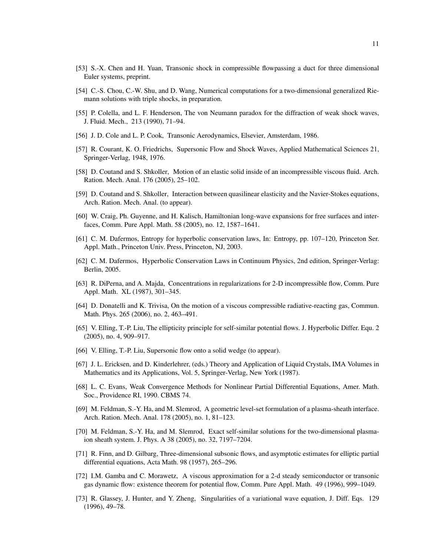- [53] S.-X. Chen and H. Yuan, Transonic shock in compressible flowpassing a duct for three dimensional Euler systems, preprint.
- [54] C.-S. Chou, C.-W. Shu, and D. Wang, Numerical computations for a two-dimensional generalized Riemann solutions with triple shocks, in preparation.
- [55] P. Colella, and L. F. Henderson, The von Neumann paradox for the diffraction of weak shock waves, J. Fluid. Mech., 213 (1990), 71–94.
- [56] J. D. Cole and L. P. Cook, Transonic Aerodynamics, Elsevier, Amsterdam, 1986.
- [57] R. Courant, K. O. Friedrichs, Supersonic Flow and Shock Waves, Applied Mathematical Sciences 21, Springer-Verlag, 1948, 1976.
- [58] D. Coutand and S. Shkoller, Motion of an elastic solid inside of an incompressible viscous fluid. Arch. Ration. Mech. Anal. 176 (2005), 25–102.
- [59] D. Coutand and S. Shkoller, Interaction between quasilinear elasticity and the Navier-Stokes equations, Arch. Ration. Mech. Anal. (to appear).
- [60] W. Craig, Ph. Guyenne, and H. Kalisch, Hamiltonian long-wave expansions for free surfaces and interfaces, Comm. Pure Appl. Math. 58 (2005), no. 12, 1587–1641.
- [61] C. M. Dafermos, Entropy for hyperbolic conservation laws, In: Entropy, pp. 107–120, Princeton Ser. Appl. Math., Princeton Univ. Press, Princeton, NJ, 2003.
- [62] C. M. Dafermos, Hyperbolic Conservation Laws in Continuum Physics, 2nd edition, Springer-Verlag: Berlin, 2005.
- [63] R. DiPerna, and A. Majda, Concentrations in regularizations for 2-D incompressible flow, Comm. Pure Appl. Math. XL (1987), 301–345.
- [64] D. Donatelli and K. Trivisa, On the motion of a viscous compressible radiative-reacting gas, Commun. Math. Phys. 265 (2006), no. 2, 463–491.
- [65] V. Elling, T.-P. Liu, The ellipticity principle for self-similar potential flows. J. Hyperbolic Differ. Equ. 2 (2005), no. 4, 909–917.
- [66] V. Elling, T.-P. Liu, Supersonic flow onto a solid wedge (to appear).
- [67] J. L. Ericksen, and D. Kinderlehrer, (eds.) Theory and Application of Liquid Crystals, IMA Volumes in Mathematics and its Applications, Vol. 5, Springer-Verlag, New York (1987).
- [68] L. C. Evans, Weak Convergence Methods for Nonlinear Partial Differential Equations, Amer. Math. Soc., Providence RI, 1990. CBMS 74.
- [69] M. Feldman, S.-Y. Ha, and M. Slemrod, A geometric level-set formulation of a plasma-sheath interface. Arch. Ration. Mech. Anal. 178 (2005), no. 1, 81–123.
- [70] M. Feldman, S.-Y. Ha, and M. Slemrod, Exact self-similar solutions for the two-dimensional plasmaion sheath system. J. Phys. A 38 (2005), no. 32, 7197–7204.
- [71] R. Finn, and D. Gilbarg, Three-dimensional subsonic flows, and asymptotic estimates for elliptic partial differential equations, Acta Math. 98 (1957), 265–296.
- [72] I.M. Gamba and C. Morawetz, A viscous approximation for a 2-d steady semiconductor or transonic gas dynamic flow: existence theorem for potential flow, Comm. Pure Appl. Math. 49 (1996), 999–1049.
- [73] R. Glassey, J. Hunter, and Y. Zheng, Singularities of a variational wave equation, J. Diff. Eqs. 129 (1996), 49–78.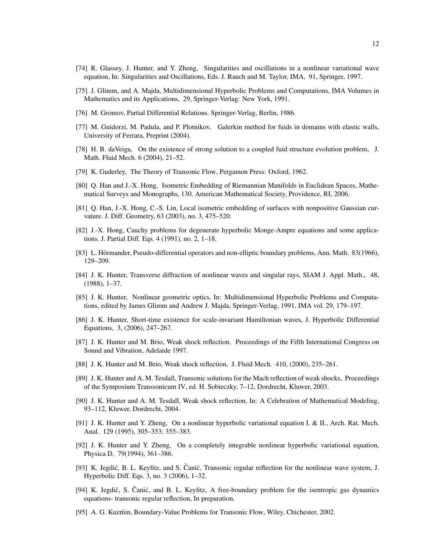- [74] R. Glassey, J. Hunter, and Y. Zheng, Singularities and oscillations in a nonlinear variational wave equation, In: Singularities and Oscillations, Eds. J. Rauch and M. Taylor, IMA, 91, Springer, 1997.
- [75] J. Glimm, and A. Majda, Multidimensional Hyperbolic Problems and Computations, IMA Volumes in Mathematics and its Applications, 29, Springer-Verlag: New York, 1991.
- [76] M. Gromov, Partial Differential Relations. Springer-Verlag, Berlin, 1986.
- [77] M. Guidorzi, M. Padula, and P. Plotnikov, Galerkin method for fuids in domains with elastic walls, University of Ferrara, Preprint (2004).
- [78] H. B. daVeiga, On the existence of strong solution to a coupled fuid structure evolution problem, J. Math. Fluid Mech. 6 (2004), 21–52.
- [79] K. Guderley, The Theory of Transonic Flow, Pergamon Press: Oxford, 1962.
- [80] Q. Han and J.-X. Hong, Isometric Embedding of Riemannian Manifolds in Euclidean Spaces, Mathematical Surveys and Monographs, 130. American Mathematical Society, Providence, RI, 2006.
- [81] Q. Han, J.-X. Hong, C.-S. Lin, Local isometric embedding of surfaces with nonpositive Gaussian curvature. J. Diff. Geometry, 63 (2003), no. 3, 475–520.
- [82] J.-X. Hong, Cauchy problems for degenerate hyperbolic Monge-Ampre equations and some applications. J. Partial Diff. Eqs. 4 (1991), no. 2, 1–18.
- [83] L. Hörmander, Pseudo-differential operators and non-elliptic boundary problems, Ann. Math. 83(1966), 129–209.
- [84] J. K. Hunter, Transverse diffraction of nonlinear waves and singular rays, SIAM J. Appl. Math., 48, (1988), 1–37.
- [85] J. K. Hunter, Nonlinear geometric optics, In: Multidimensional Hyperbolic Problems and Computations, edited by James Glimm and Andrew J. Majda, Springer-Verlag, 1991, IMA vol. 29, 179–197.
- [86] J. K. Hunter, Short-time existence for scale-invariant Hamiltonian waves, J. Hyperbolic Differential Equations, 3, (2006), 247–267.
- [87] J. K. Hunter and M. Brio, Weak shock reflection, Proceedings of the Fifth International Congress on Sound and Vibration, Adelaide 1997.
- [88] J. K. Hunter and M. Brio, Weak shock reflection, J. Fluid Mech. 410, (2000), 235–261.
- [89] J. K. Hunter and A. M. Tesdall, Transonic solutions for the Mach reflection of weak shocks, Proceedings of the Symposium Transsonicum IV, ed. H. Sobieczky, 7–12, Dordrecht, Kluwer, 2003.
- [90] J. K. Hunter and A. M. Tesdall, Weak shock reflection, In: A Celebration of Mathematical Modeling, 93–112, Kluwer, Dordrecht, 2004.
- [91] J. K. Hunter and Y. Zheng, On a nonlinear hyperbolic variational equation I. & II., Arch. Rat. Mech. Anal. 129 (1995), 305–353; 355–383.
- [92] J. K. Hunter and Y. Zheng, On a completely integrable nonlinear hyperbolic variational equation, Physica D, 79(1994), 361–386.
- [93] K. Jegdić, B. L. Keyfitz, and S. Čanić, Transonic regular reflection for the nonlinear wave system, J. Hyperbolic Diff. Eqs. 3, no. 3 (2006), 1–32.
- [94] K. Jegdić, S. Čanić, and B. L. Keyfitz, A free-boundary problem for the isentropic gas dynamics equations- transonic regular reflection, In preparation.
- [95] A. G. Kuzmin, Boundary-Value Problems for Transonic Flow, Wiley, Chichester, 2002.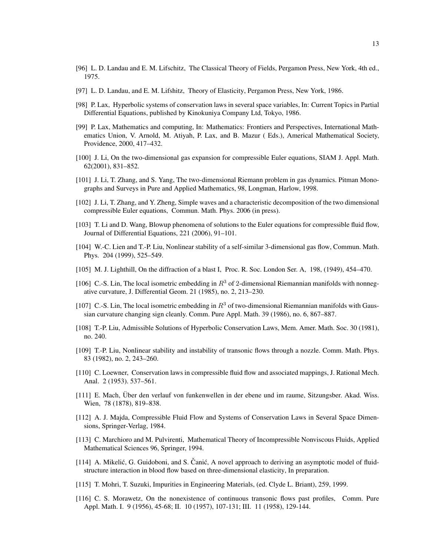- [96] L. D. Landau and E. M. Lifschitz, The Classical Theory of Fields, Pergamon Press, New York, 4th ed., 1975.
- [97] L. D. Landau, and E. M. Lifshitz, Theory of Elasticity, Pergamon Press, New York, 1986.
- [98] P. Lax, Hyperbolic systems of conservation laws in several space variables, In: Current Topics in Partial Differential Equations, published by Kinokuniya Company Ltd, Tokyo, 1986.
- [99] P. Lax, Mathematics and computing, In: Mathematics: Frontiers and Perspectives, International Mathematics Union, V. Arnold, M. Atiyah, P. Lax, and B. Mazur ( Eds.), Americal Mathematical Society, Providence, 2000, 417–432.
- [100] J. Li, On the two-dimensional gas expansion for compressible Euler equations, SIAM J. Appl. Math. 62(2001), 831–852.
- [101] J. Li, T. Zhang, and S. Yang, The two-dimensional Riemann problem in gas dynamics. Pitman Monographs and Surveys in Pure and Applied Mathematics, 98, Longman, Harlow, 1998.
- [102] J. Li, T. Zhang, and Y. Zheng, Simple waves and a characteristic decomposition of the two dimensional compressible Euler equations, Commun. Math. Phys. 2006 (in press).
- [103] T. Li and D. Wang, Blowup phenomena of solutions to the Euler equations for compressible fluid flow, Journal of Differential Equations, 221 (2006), 91–101.
- [104] W.-C. Lien and T.-P. Liu, Nonlinear stability of a self-similar 3-dimensional gas flow, Commun. Math. Phys. 204 (1999), 525–549.
- [105] M. J. Lighthill, On the diffraction of a blast I, Proc. R. Soc. London Ser. A, 198, (1949), 454–470.
- [106] C.-S. Lin, The local isometric embedding in  $R<sup>3</sup>$  of 2-dimensional Riemannian manifolds with nonnegative curvature, J. Differential Geom. 21 (1985), no. 2, 213–230.
- [107] C.-S. Lin, The local isometric embedding in  $R<sup>3</sup>$  of two-dimensional Riemannian manifolds with Gaussian curvature changing sign cleanly. Comm. Pure Appl. Math. 39 (1986), no. 6, 867–887.
- [108] T.-P. Liu, Admissible Solutions of Hyperbolic Conservation Laws, Mem. Amer. Math. Soc. 30 (1981), no. 240.
- [109] T.-P. Liu, Nonlinear stability and instability of transonic flows through a nozzle. Comm. Math. Phys. 83 (1982), no. 2, 243–260.
- [110] C. Loewner, Conservation laws in compressible fluid flow and associated mappings, J. Rational Mech. Anal. 2 (1953). 537–561.
- [111] E. Mach, Uber den verlauf von funkenwellen in der ebene und im raume, Sitzungsber. Akad. Wiss. ¨ Wien, 78 (1878), 819–838.
- [112] A. J. Majda, Compressible Fluid Flow and Systems of Conservation Laws in Several Space Dimensions, Springer-Verlag, 1984.
- [113] C. Marchioro and M. Pulvirenti, Mathematical Theory of Incompressible Nonviscous Fluids, Applied Mathematical Sciences 96, Springer, 1994.
- [114] A. Mikelić, G. Guidoboni, and S. Čanić, A novel approach to deriving an asymptotic model of fluidstructure interaction in blood flow based on three-dimensional elasticity, In preparation.
- [115] T. Mohri, T. Suzuki, Impurities in Engineering Materials, (ed. Clyde L. Briant), 259, 1999.
- [116] C. S. Morawetz, On the nonexistence of continuous transonic flows past profiles, Comm. Pure Appl. Math. I. 9 (1956), 45-68; II. 10 (1957), 107-131; III. 11 (1958), 129-144.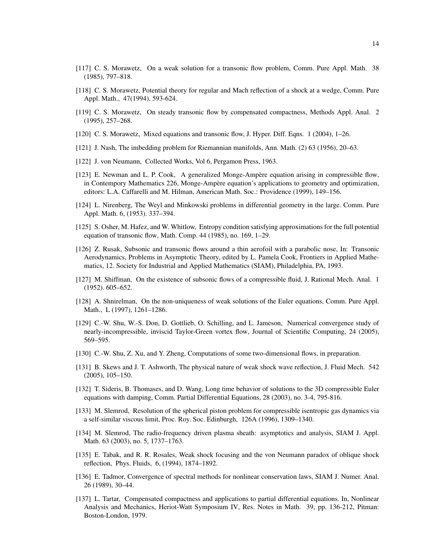- [117] C. S. Morawetz, On a weak solution for a transonic flow problem, Comm. Pure Appl. Math. 38 (1985), 797–818.
- [118] C. S. Morawetz, Potential theory for regular and Mach reflection of a shock at a wedge, Comm. Pure Appl. Math., 47(1994), 593-624.
- [119] C. S. Morawetz, On steady transonic flow by compensated compactness, Methods Appl. Anal. 2 (1995), 257–268.
- [120] C. S. Morawetz, Mixed equations and transonic flow, J. Hyper. Diff. Eqns. 1 (2004), 1–26.
- [121] J. Nash, The imbedding problem for Riemannian manifolds, Ann. Math. (2) 63 (1956), 20–63.
- [122] J. von Neumann, Collected Works, Vol 6, Pergamon Press, 1963.
- [123] E. Newman and L. P. Cook, A generalized Monge-Ampere equation arising in compressible flow, ` in Contempory Mathematics 226, Monge-Ampère equation's applications to geometry and optimization, editors: L.A. Caffarelli and M. Hilman, American Math. Soc.: Providence (1999), 149–156.
- [124] L. Nirenberg, The Weyl and Minkowski problems in differential geometry in the large. Comm. Pure Appl. Math. 6, (1953). 337–394.
- [125] S. Osher, M. Hafez, and W. Whitlow, Entropy condition satisfying approximations for the full potential equation of transonic flow, Math. Comp. 44 (1985), no. 169, 1–29.
- [126] Z. Rusak, Subsonic and transonic flows around a thin aerofoil with a parabolic nose, In: Transonic Aerodynamics, Problems in Asymptotic Theory, edited by L. Pamela Cook, Frontiers in Applied Mathematics, 12. Society for Industrial and Applied Mathematics (SIAM), Philadelphia, PA, 1993.
- [127] M. Shiffman, On the existence of subsonic flows of a compressible fluid, J. Rational Mech. Anal. 1 (1952). 605–652.
- [128] A. Shnirelman, On the non-uniqueness of weak solutions of the Euler equations, Comm. Pure Appl. Math., L (1997), 1261–1286.
- [129] C.-W. Shu, W.-S. Don, D. Gottlieb, O. Schilling, and L. Jameson, Numerical convergence study of nearly-incompressible, inviscid Taylor-Green vortex flow, Journal of Scientific Computing, 24 (2005), 569–595.
- [130] C.-W. Shu, Z. Xu, and Y. Zheng, Computations of some two-dimensional flows, in preparation.
- [131] B. Skews and J. T. Ashworth, The physical nature of weak shock wave reflection, J. Fluid Mech. 542 (2005), 105–150.
- [132] T. Sideris, B. Thomases, and D. Wang, Long time behavior of solutions to the 3D compressible Euler equations with damping, Comm. Partial Differential Equations, 28 (2003), no. 3-4, 795-816.
- [133] M. Slemrod, Resolution of the spherical piston problem for compressible isentropic gas dynamics via a self-similar viscous limit, Proc. Roy. Soc. Edinburgh, 126A (1996), 1309–1340.
- [134] M. Slemrod, The radio-frequency driven plasma sheath: asymptotics and analysis, SIAM J. Appl. Math. 63 (2003), no. 5, 1737–1763.
- [135] E. Tabak, and R. R. Rosales, Weak shock focusing and the von Neumann paradox of oblique shock reflection, Phys. Fluids, 6, (1994), 1874–1892.
- [136] E. Tadmor, Convergence of spectral methods for nonlinear conservation laws, SIAM J. Numer. Anal. 26 (1989), 30–44.
- [137] L. Tartar, Compensated compactness and applications to partial differential equations. In, Nonlinear Analysis and Mechanics, Heriot-Watt Symposium IV, Res. Notes in Math. 39, pp. 136-212, Pitman: Boston-London, 1979.